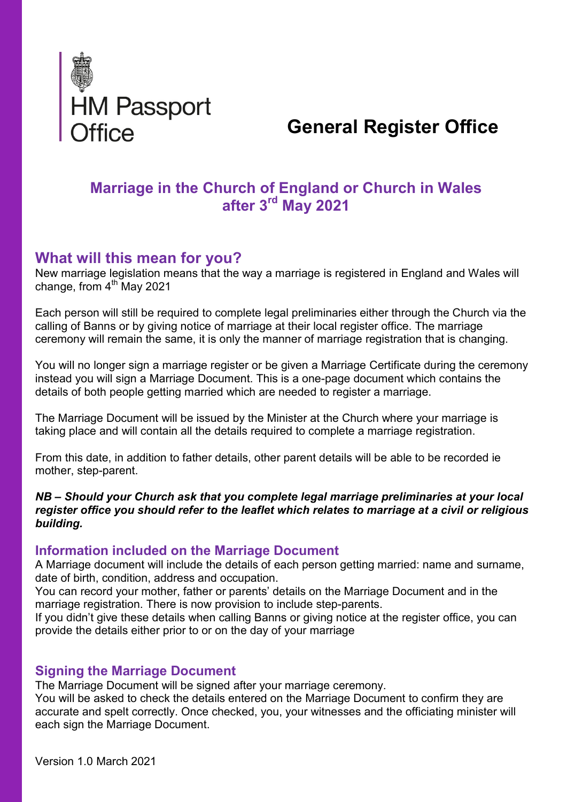

# General Register Office

# Marriage in the Church of England or Church in Wales after 3rd May 2021

# What will this mean for you?

New marriage legislation means that the way a marriage is registered in England and Wales will change, from  $4<sup>th</sup>$  May 2021

Each person will still be required to complete legal preliminaries either through the Church via the calling of Banns or by giving notice of marriage at their local register office. The marriage ceremony will remain the same, it is only the manner of marriage registration that is changing.

You will no longer sign a marriage register or be given a Marriage Certificate during the ceremony instead you will sign a Marriage Document. This is a one-page document which contains the details of both people getting married which are needed to register a marriage.

The Marriage Document will be issued by the Minister at the Church where your marriage is taking place and will contain all the details required to complete a marriage registration.

From this date, in addition to father details, other parent details will be able to be recorded ie mother, step-parent.

#### NB – Should your Church ask that you complete legal marriage preliminaries at your local register office you should refer to the leaflet which relates to marriage at a civil or religious building.

#### Information included on the Marriage Document

A Marriage document will include the details of each person getting married: name and surname, date of birth, condition, address and occupation.

You can record your mother, father or parents' details on the Marriage Document and in the marriage registration. There is now provision to include step-parents.

If you didn't give these details when calling Banns or giving notice at the register office, you can provide the details either prior to or on the day of your marriage

#### Signing the Marriage Document

The Marriage Document will be signed after your marriage ceremony.

You will be asked to check the details entered on the Marriage Document to confirm they are accurate and spelt correctly. Once checked, you, your witnesses and the officiating minister will each sign the Marriage Document.

Version 1.0 March 2021